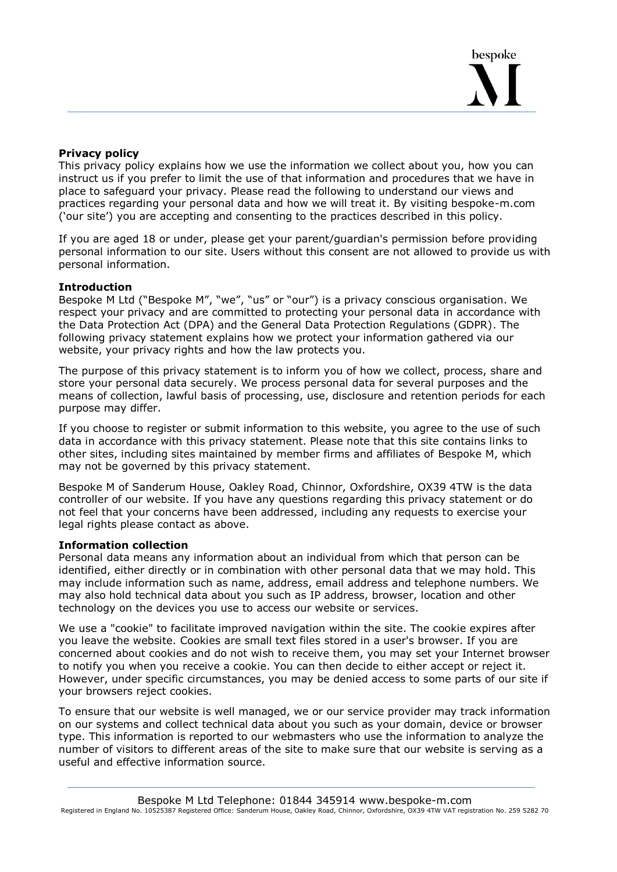# **Privacy policy**

This privacy policy explains how we use the information we collect about you, how you can instruct us if you prefer to limit the use of that information and procedures that we have in place to safeguard your privacy. Please read the following to understand our views and practices regarding your personal data and how we will treat it. By visiting bespoke-m.com ('our site') you are accepting and consenting to the practices described in this policy.

If you are aged 18 or under, please get your parent/guardian's permission before providing personal information to our site. Users without this consent are not allowed to provide us with personal information.

### **Introduction**

Bespoke M Ltd ("Bespoke M", "we", "us" or "our") is a privacy conscious organisation. We respect your privacy and are committed to protecting your personal data in accordance with the Data Protection Act (DPA) and the General Data Protection Regulations (GDPR). The following privacy statement explains how we protect your information gathered via our website, your privacy rights and how the law protects you.

The purpose of this privacy statement is to inform you of how we collect, process, share and store your personal data securely. We process personal data for several purposes and the means of collection, lawful basis of processing, use, disclosure and retention periods for each purpose may differ.

If you choose to register or submit information to this website, you agree to the use of such data in accordance with this privacy statement. Please note that this site contains links to other sites, including sites maintained by member firms and affiliates of Bespoke M, which may not be governed by this privacy statement.

Bespoke M of Sanderum House, Oakley Road, Chinnor, Oxfordshire, OX39 4TW is the data controller of our website. If you have any questions regarding this privacy statement or do not feel that your concerns have been addressed, including any requests to exercise your legal rights please contact as above.

### **Information collection**

Personal data means any information about an individual from which that person can be identified, either directly or in combination with other personal data that we may hold. This may include information such as name, address, email address and telephone numbers. We may also hold technical data about you such as IP address, browser, location and other technology on the devices you use to access our website or services.

We use a "cookie" to facilitate improved navigation within the site. The cookie expires after you leave the website. Cookies are small text files stored in a user's browser. If you are concerned about cookies and do not wish to receive them, you may set your Internet browser to notify you when you receive a cookie. You can then decide to either accept or reject it. However, under specific circumstances, you may be denied access to some parts of our site if your browsers reject cookies.

To ensure that our website is well managed, we or our service provider may track information on our systems and collect technical data about you such as your domain, device or browser type. This information is reported to our webmasters who use the information to analyze the number of visitors to different areas of the site to make sure that our website is serving as a useful and effective information source.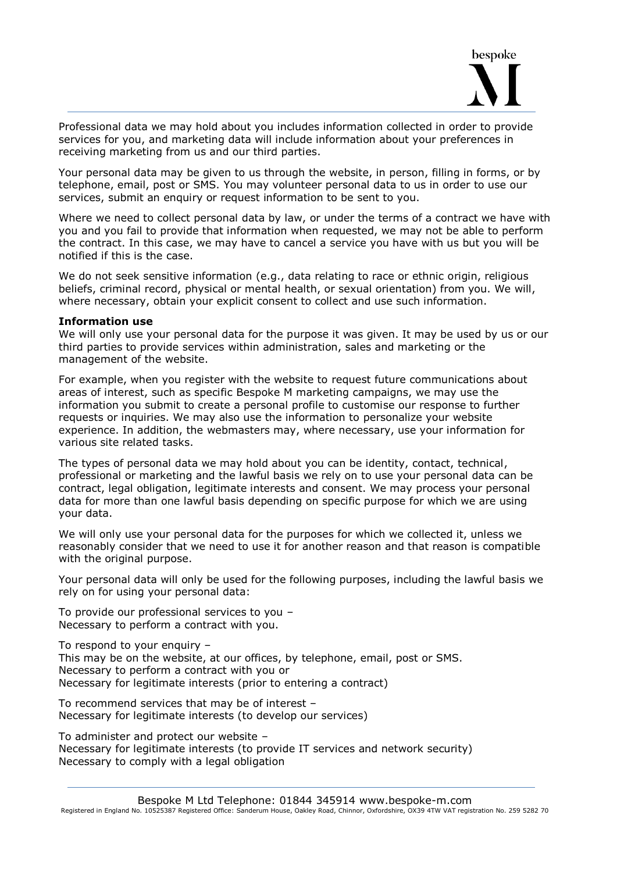

Professional data we may hold about you includes information collected in order to provide services for you, and marketing data will include information about your preferences in receiving marketing from us and our third parties.

Your personal data may be given to us through the website, in person, filling in forms, or by telephone, email, post or SMS. You may volunteer personal data to us in order to use our services, submit an enquiry or request information to be sent to you.

Where we need to collect personal data by law, or under the terms of a contract we have with you and you fail to provide that information when requested, we may not be able to perform the contract. In this case, we may have to cancel a service you have with us but you will be notified if this is the case.

We do not seek sensitive information (e.g., data relating to race or ethnic origin, religious beliefs, criminal record, physical or mental health, or sexual orientation) from you. We will, where necessary, obtain your explicit consent to collect and use such information.

#### **Information use**

We will only use your personal data for the purpose it was given. It may be used by us or our third parties to provide services within administration, sales and marketing or the management of the website.

For example, when you register with the website to request future communications about areas of interest, such as specific Bespoke M marketing campaigns, we may use the information you submit to create a personal profile to customise our response to further requests or inquiries. We may also use the information to personalize your website experience. In addition, the webmasters may, where necessary, use your information for various site related tasks.

The types of personal data we may hold about you can be identity, contact, technical, professional or marketing and the lawful basis we rely on to use your personal data can be contract, legal obligation, legitimate interests and consent. We may process your personal data for more than one lawful basis depending on specific purpose for which we are using your data.

We will only use your personal data for the purposes for which we collected it, unless we reasonably consider that we need to use it for another reason and that reason is compatible with the original purpose.

Your personal data will only be used for the following purposes, including the lawful basis we rely on for using your personal data:

To provide our professional services to you – Necessary to perform a contract with you.

To respond to your enquiry –

This may be on the website, at our offices, by telephone, email, post or SMS. Necessary to perform a contract with you or Necessary for legitimate interests (prior to entering a contract)

To recommend services that may be of interest – Necessary for legitimate interests (to develop our services)

To administer and protect our website – Necessary for legitimate interests (to provide IT services and network security) Necessary to comply with a legal obligation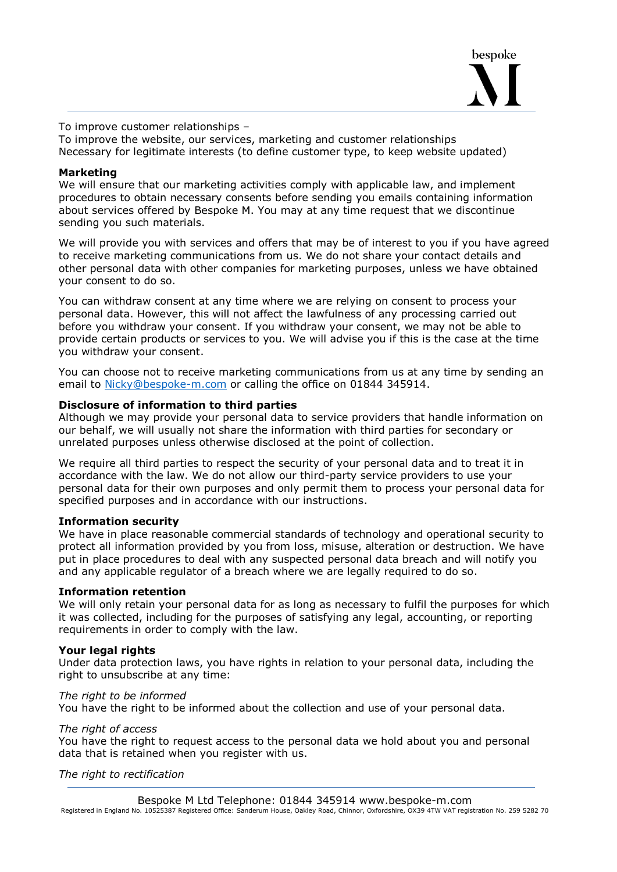

To improve customer relationships –

To improve the website, our services, marketing and customer relationships Necessary for legitimate interests (to define customer type, to keep website updated)

## **Marketing**

We will ensure that our marketing activities comply with applicable law, and implement procedures to obtain necessary consents before sending you emails containing information about services offered by Bespoke M. You may at any time request that we discontinue sending you such materials.

We will provide you with services and offers that may be of interest to you if you have agreed to receive marketing communications from us. We do not share your contact details and other personal data with other companies for marketing purposes, unless we have obtained your consent to do so.

You can withdraw consent at any time where we are relying on consent to process your personal data. However, this will not affect the lawfulness of any processing carried out before you withdraw your consent. If you withdraw your consent, we may not be able to provide certain products or services to you. We will advise you if this is the case at the time you withdraw your consent.

You can choose not to receive marketing communications from us at any time by sending an email to [Nicky@bespoke-m.com](mailto:Nicky@bespoke-m.com) or calling the office on 01844 345914.

## **Disclosure of information to third parties**

Although we may provide your personal data to service providers that handle information on our behalf, we will usually not share the information with third parties for secondary or unrelated purposes unless otherwise disclosed at the point of collection.

We require all third parties to respect the security of your personal data and to treat it in accordance with the law. We do not allow our third-party service providers to use your personal data for their own purposes and only permit them to process your personal data for specified purposes and in accordance with our instructions.

### **Information security**

We have in place reasonable commercial standards of technology and operational security to protect all information provided by you from loss, misuse, alteration or destruction. We have put in place procedures to deal with any suspected personal data breach and will notify you and any applicable regulator of a breach where we are legally required to do so.

### **Information retention**

We will only retain your personal data for as long as necessary to fulfil the purposes for which it was collected, including for the purposes of satisfying any legal, accounting, or reporting requirements in order to comply with the law.

### **Your legal rights**

Under data protection laws, you have rights in relation to your personal data, including the right to unsubscribe at any time:

### *The right to be informed*

You have the right to be informed about the collection and use of your personal data.

### *The right of access*

You have the right to request access to the personal data we hold about you and personal data that is retained when you register with us.

### *The right to rectification*